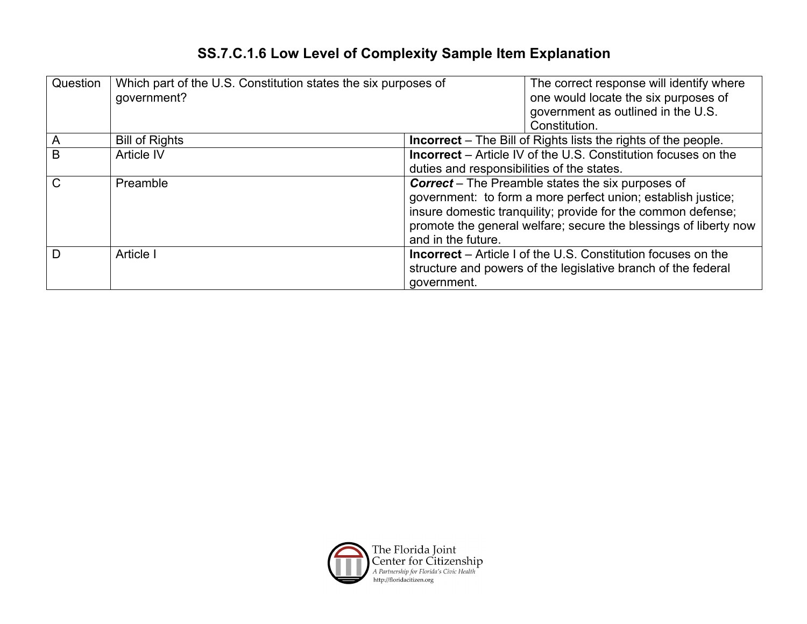## **SS.7.C.1.6 Low Level of Complexity Sample Item Explanation**

| Question     | Which part of the U.S. Constitution states the six purposes of<br>government? | The correct response will identify where<br>one would locate the six purposes of<br>government as outlined in the U.S.<br>Constitution.                                                                                                                                            |
|--------------|-------------------------------------------------------------------------------|------------------------------------------------------------------------------------------------------------------------------------------------------------------------------------------------------------------------------------------------------------------------------------|
| A            | <b>Bill of Rights</b>                                                         | <b>Incorrect</b> – The Bill of Rights lists the rights of the people.                                                                                                                                                                                                              |
| B            | Article IV                                                                    | <b>Incorrect</b> – Article IV of the U.S. Constitution focuses on the<br>duties and responsibilities of the states.                                                                                                                                                                |
| $\mathsf{C}$ | Preamble                                                                      | <b>Correct</b> – The Preamble states the six purposes of<br>government: to form a more perfect union; establish justice;<br>insure domestic tranquility; provide for the common defense;<br>promote the general welfare; secure the blessings of liberty now<br>and in the future. |
| D            | Article I                                                                     | <b>Incorrect</b> – Article I of the U.S. Constitution focuses on the<br>structure and powers of the legislative branch of the federal<br>government.                                                                                                                               |

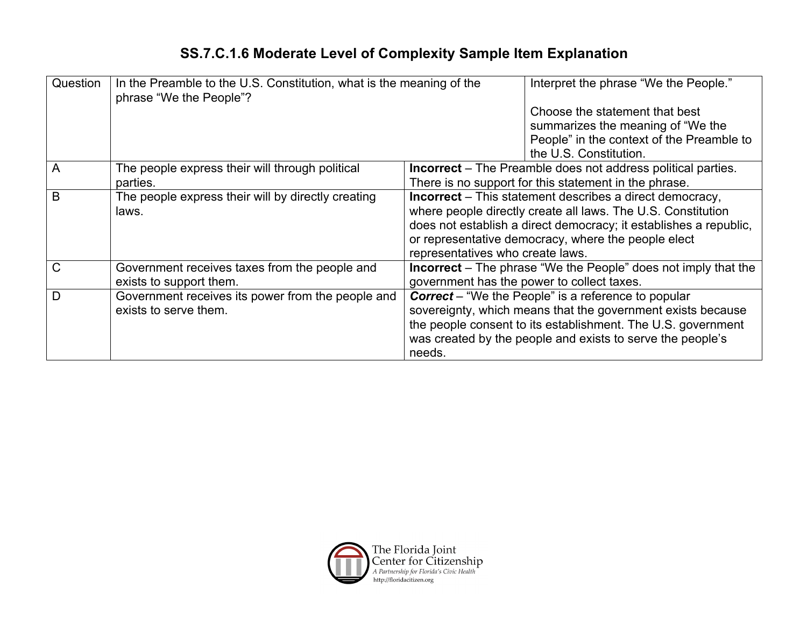## **SS.7.C.1.6 Moderate Level of Complexity Sample Item Explanation**

| Question                                               | In the Preamble to the U.S. Constitution, what is the meaning of the<br>phrase "We the People"? |                                                                 | Interpret the phrase "We the People."                                 |
|--------------------------------------------------------|-------------------------------------------------------------------------------------------------|-----------------------------------------------------------------|-----------------------------------------------------------------------|
|                                                        |                                                                                                 |                                                                 | Choose the statement that best                                        |
|                                                        |                                                                                                 |                                                                 | summarizes the meaning of "We the                                     |
|                                                        |                                                                                                 |                                                                 | People" in the context of the Preamble to                             |
|                                                        |                                                                                                 |                                                                 | the U.S. Constitution.                                                |
| A                                                      | The people express their will through political                                                 |                                                                 | <b>Incorrect</b> – The Preamble does not address political parties.   |
|                                                        | parties.                                                                                        |                                                                 | There is no support for this statement in the phrase.                 |
| B                                                      | The people express their will by directly creating                                              | <b>Incorrect</b> – This statement describes a direct democracy, |                                                                       |
|                                                        | laws.                                                                                           |                                                                 | where people directly create all laws. The U.S. Constitution          |
|                                                        |                                                                                                 |                                                                 | does not establish a direct democracy; it establishes a republic,     |
|                                                        |                                                                                                 |                                                                 | or representative democracy, where the people elect                   |
|                                                        |                                                                                                 | representatives who create laws.                                |                                                                       |
| $\mathsf{C}$                                           | Government receives taxes from the people and                                                   |                                                                 | <b>Incorrect</b> – The phrase "We the People" does not imply that the |
|                                                        | exists to support them.                                                                         |                                                                 | government has the power to collect taxes.                            |
| Government receives its power from the people and<br>D |                                                                                                 |                                                                 | <b>Correct</b> – "We the People" is a reference to popular            |
|                                                        | exists to serve them.                                                                           |                                                                 | sovereignty, which means that the government exists because           |
|                                                        |                                                                                                 |                                                                 | the people consent to its establishment. The U.S. government          |
|                                                        |                                                                                                 |                                                                 | was created by the people and exists to serve the people's            |
|                                                        |                                                                                                 | needs.                                                          |                                                                       |